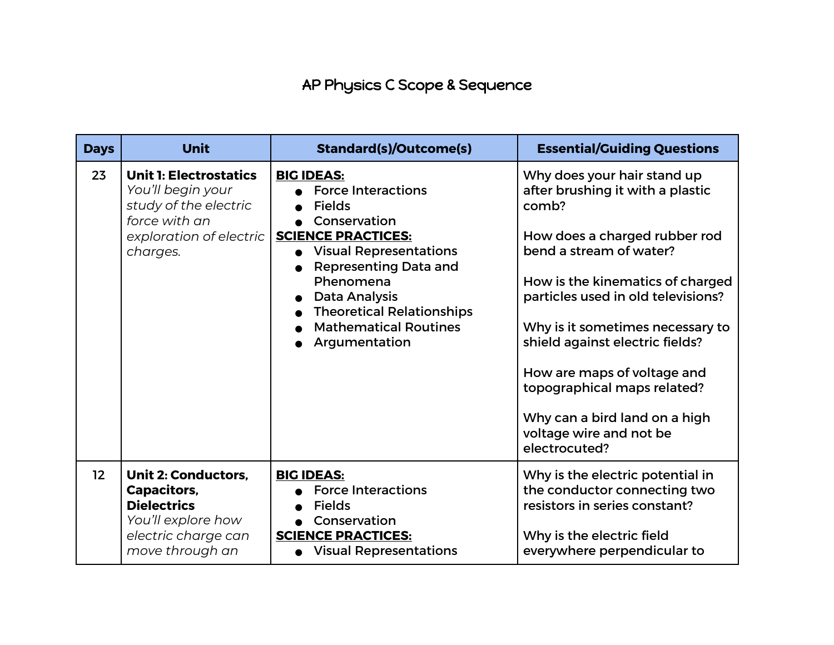## AP Physics C Scope & Sequence

| <b>Days</b> | <b>Unit</b>                                                                                                                         | <b>Standard(s)/Outcome(s)</b>                                                                                                                                                                                                                                                                           | <b>Essential/Guiding Questions</b>                                                                                                                                                                                                                                                                                                                                                                                               |
|-------------|-------------------------------------------------------------------------------------------------------------------------------------|---------------------------------------------------------------------------------------------------------------------------------------------------------------------------------------------------------------------------------------------------------------------------------------------------------|----------------------------------------------------------------------------------------------------------------------------------------------------------------------------------------------------------------------------------------------------------------------------------------------------------------------------------------------------------------------------------------------------------------------------------|
| 23          | <b>Unit 1: Electrostatics</b><br>You'll begin your<br>study of the electric<br>force with an<br>exploration of electric<br>charges. | <b>BIG IDEAS:</b><br><b>Force Interactions</b><br><b>Fields</b><br>Conservation<br><b>SCIENCE PRACTICES:</b><br><b>Visual Representations</b><br><b>Representing Data and</b><br>Phenomena<br><b>Data Analysis</b><br><b>Theoretical Relationships</b><br><b>Mathematical Routines</b><br>Argumentation | Why does your hair stand up<br>after brushing it with a plastic<br>comb?<br>How does a charged rubber rod<br>bend a stream of water?<br>How is the kinematics of charged<br>particles used in old televisions?<br>Why is it sometimes necessary to<br>shield against electric fields?<br>How are maps of voltage and<br>topographical maps related?<br>Why can a bird land on a high<br>voltage wire and not be<br>electrocuted? |
| 12          | <b>Unit 2: Conductors.</b><br>Capacitors,<br><b>Dielectrics</b><br>You'll explore how<br>electric charge can<br>move through an     | <b>BIG IDEAS:</b><br><b>Force Interactions</b><br><b>Fields</b><br>Conservation<br><b>SCIENCE PRACTICES:</b><br><b>Visual Representations</b>                                                                                                                                                           | Why is the electric potential in<br>the conductor connecting two<br>resistors in series constant?<br>Why is the electric field<br>everywhere perpendicular to                                                                                                                                                                                                                                                                    |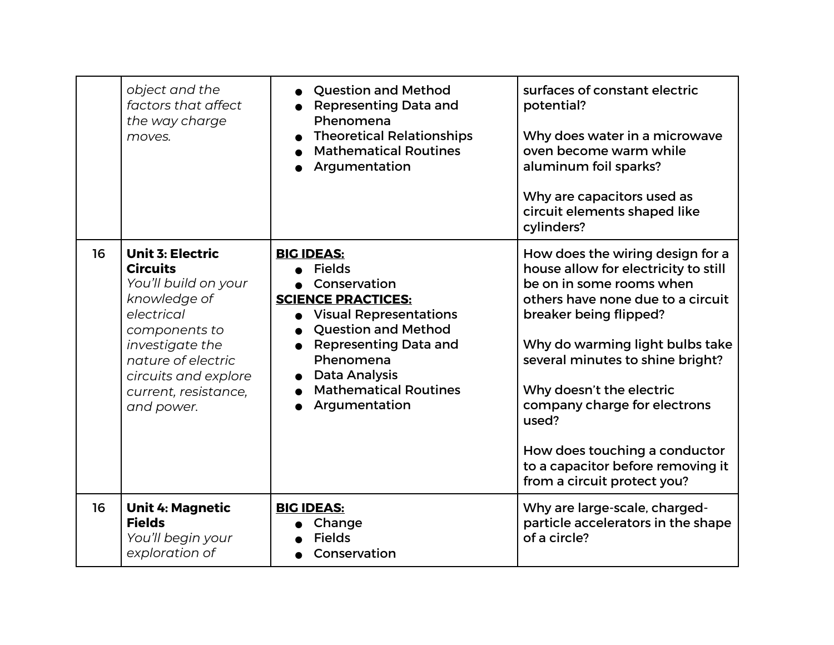|    | object and the<br>factors that affect<br>the way charge<br>moves.                                                                                                                                                        | <b>Question and Method</b><br><b>Representing Data and</b><br>Phenomena<br><b>Theoretical Relationships</b><br><b>Mathematical Routines</b><br>Argumentation                                                                                                  | surfaces of constant electric<br>potential?<br>Why does water in a microwave<br>oven become warm while<br>aluminum foil sparks?<br>Why are capacitors used as<br>circuit elements shaped like<br>cylinders?                                                                                                                                                                                                          |
|----|--------------------------------------------------------------------------------------------------------------------------------------------------------------------------------------------------------------------------|---------------------------------------------------------------------------------------------------------------------------------------------------------------------------------------------------------------------------------------------------------------|----------------------------------------------------------------------------------------------------------------------------------------------------------------------------------------------------------------------------------------------------------------------------------------------------------------------------------------------------------------------------------------------------------------------|
| 16 | <b>Unit 3: Electric</b><br><b>Circuits</b><br>You'll build on your<br>knowledge of<br>electrical<br>components to<br>investigate the<br>nature of electric<br>circuits and explore<br>current, resistance,<br>and power. | <b>BIG IDEAS:</b><br><b>Fields</b><br>Conservation<br><b>SCIENCE PRACTICES:</b><br><b>Visual Representations</b><br><b>Question and Method</b><br><b>Representing Data and</b><br>Phenomena<br>Data Analysis<br><b>Mathematical Routines</b><br>Argumentation | How does the wiring design for a<br>house allow for electricity to still<br>be on in some rooms when<br>others have none due to a circuit<br>breaker being flipped?<br>Why do warming light bulbs take<br>several minutes to shine bright?<br>Why doesn't the electric<br>company charge for electrons<br>used?<br>How does touching a conductor<br>to a capacitor before removing it<br>from a circuit protect you? |
| 16 | <b>Unit 4: Magnetic</b><br><b>Fields</b><br>You'll begin your<br>exploration of                                                                                                                                          | <b>BIG IDEAS:</b><br>Change<br><b>Fields</b><br>Conservation                                                                                                                                                                                                  | Why are large-scale, charged-<br>particle accelerators in the shape<br>of a circle?                                                                                                                                                                                                                                                                                                                                  |